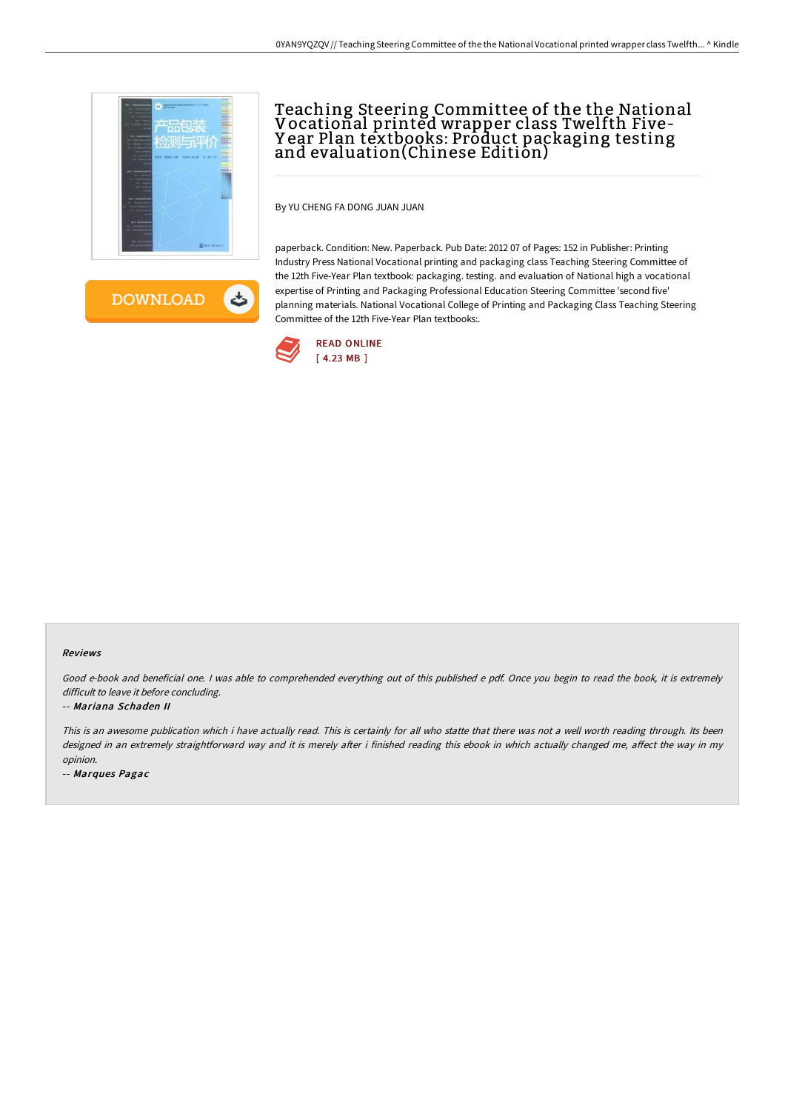

ٹ **DOWNLOAD** 

# Teaching Steering Committee of the the National Vocational printed wrapper class Twelfth Five-Y ear Plan textbooks: Product packaging testing and evaluation(Chinese Edition)

By YU CHENG FA DONG JUAN JUAN

paperback. Condition: New. Paperback. Pub Date: 2012 07 of Pages: 152 in Publisher: Printing Industry Press National Vocational printing and packaging class Teaching Steering Committee of the 12th Five-Year Plan textbook: packaging. testing. and evaluation of National high a vocational expertise of Printing and Packaging Professional Education Steering Committee 'second five' planning materials. National Vocational College of Printing and Packaging Class Teaching Steering Committee of the 12th Five-Year Plan textbooks:.



#### Reviews

Good e-book and beneficial one. <sup>I</sup> was able to comprehended everything out of this published <sup>e</sup> pdf. Once you begin to read the book, it is extremely difficult to leave it before concluding.

#### -- Mariana Schaden II

This is an awesome publication which i have actually read. This is certainly for all who statte that there was not <sup>a</sup> well worth reading through. Its been designed in an extremely straightforward way and it is merely after i finished reading this ebook in which actually changed me, affect the way in my opinion.

-- Marques Pagac